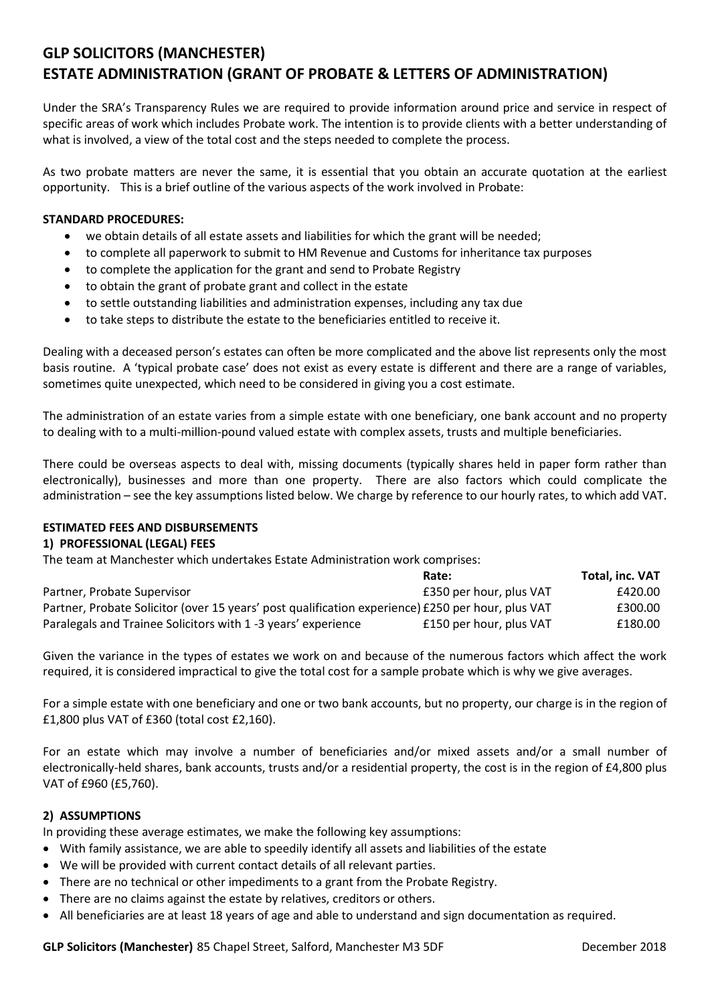# **GLP SOLICITORS (MANCHESTER) ESTATE ADMINISTRATION (GRANT OF PROBATE & LETTERS OF ADMINISTRATION)**

Under the SRA's Transparency Rules we are required to provide information around price and service in respect of specific areas of work which includes Probate work. The intention is to provide clients with a better understanding of what is involved, a view of the total cost and the steps needed to complete the process.

As two probate matters are never the same, it is essential that you obtain an accurate quotation at the earliest opportunity. This is a brief outline of the various aspects of the work involved in Probate:

#### **STANDARD PROCEDURES:**

- we obtain details of all estate assets and liabilities for which the grant will be needed;
- to complete all paperwork to submit to HM Revenue and Customs for inheritance tax purposes
- to complete the application for the grant and send to Probate Registry
- to obtain the grant of probate grant and collect in the estate
- to settle outstanding liabilities and administration expenses, including any tax due
- to take steps to distribute the estate to the beneficiaries entitled to receive it.

Dealing with a deceased person's estates can often be more complicated and the above list represents only the most basis routine. A 'typical probate case' does not exist as every estate is different and there are a range of variables, sometimes quite unexpected, which need to be considered in giving you a cost estimate.

The administration of an estate varies from a simple estate with one beneficiary, one bank account and no property to dealing with to a multi-million-pound valued estate with complex assets, trusts and multiple beneficiaries.

There could be overseas aspects to deal with, missing documents (typically shares held in paper form rather than electronically), businesses and more than one property. There are also factors which could complicate the administration – see the key assumptions listed below. We charge by reference to our hourly rates, to which add VAT.

### **ESTIMATED FEES AND DISBURSEMENTS**

#### **1) PROFESSIONAL (LEGAL) FEES**

The team at Manchester which undertakes Estate Administration work comprises:

|                                                                                                   | Rate:                   | <b>Total. inc. VAT</b> |
|---------------------------------------------------------------------------------------------------|-------------------------|------------------------|
| Partner, Probate Supervisor                                                                       | £350 per hour, plus VAT | £420.00                |
| Partner, Probate Solicitor (over 15 years' post qualification experience) £250 per hour, plus VAT |                         | £300.00                |
| Paralegals and Trainee Solicitors with 1 -3 years' experience                                     | £150 per hour, plus VAT | £180.00                |

Given the variance in the types of estates we work on and because of the numerous factors which affect the work required, it is considered impractical to give the total cost for a sample probate which is why we give averages.

For a simple estate with one beneficiary and one or two bank accounts, but no property, our charge is in the region of £1,800 plus VAT of £360 (total cost £2,160).

For an estate which may involve a number of beneficiaries and/or mixed assets and/or a small number of electronically-held shares, bank accounts, trusts and/or a residential property, the cost is in the region of £4,800 plus VAT of £960 (£5,760).

#### **2) ASSUMPTIONS**

In providing these average estimates, we make the following key assumptions:

- With family assistance, we are able to speedily identify all assets and liabilities of the estate
- We will be provided with current contact details of all relevant parties.
- There are no technical or other impediments to a grant from the Probate Registry.
- There are no claims against the estate by relatives, creditors or others.
- All beneficiaries are at least 18 years of age and able to understand and sign documentation as required.

**GLP Solicitors (Manchester)** 85 Chapel Street, Salford, Manchester M3 5DF December 2018